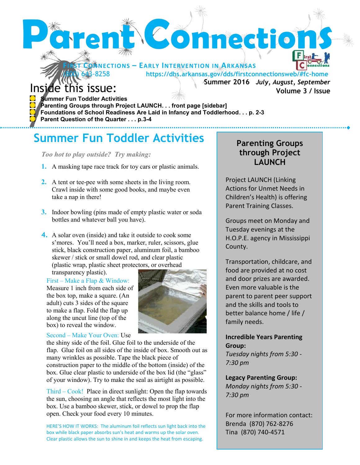

**Summer Fun Toddler Activities**

#### *Too hot to play outside? Try making:*

**Parent Question of the Quarter . . . p.3-4**

- **1.** A masking tape race track for toy cars or plastic animals.
- **2.** A tent or tee-pee with some sheets in the living room. Crawl inside with some good books, and maybe even take a nap in there!
- **3.** Indoor bowling (pins made of empty plastic water or soda bottles and whatever ball you have).
- **4.** A solar oven (inside) and take it outside to cook some s'mores. You'll need a box, marker, ruler, scissors, glue stick, black construction paper, aluminum foil, a bamboo skewer / stick or small dowel rod, and clear plastic (plastic wrap, plastic sheet protectors, or overhead

#### transparency plastic). First – Make a Flap & Window:

Measure 1 inch from each side of the box top, make a square. (An adult) cuts 3 sides of the square to make a flap. Fold the flap up along the uncut line (top of the box) to reveal the window.



#### Second – Make Your Oven: Use

the shiny side of the foil. Glue foil to the underside of the flap. Glue foil on all sides of the inside of box. Smooth out as many wrinkles as possible. Tape the black piece of construction paper to the middle of the bottom (inside) of the box. Glue clear plastic to underside of the box lid (the "glass" of your window). Try to make the seal as airtight as possible.

Third – Cook! Place in direct sunlight: Open the flap towards the sun, choosing an angle that reflects the most light into the box. Use a bamboo skewer, stick, or dowel to prop the flap open. Check your food every 10 minutes.

HERE'S HOW IT WORKS: The aluminum foil reflects sun light back into the box while black paper absorbs sun's heat and warms up the solar oven. Clear plastic allows the sun to shine in and keeps the heat from escaping.

# **Parenting Groups through Project LAUNCH**

Project LAUNCH (Linking Actions for Unmet Needs in Children's Health) is offering Parent Training Classes.

Groups meet on Monday and Tuesday evenings at the H.O.P.E. agency in Mississippi County.

Transportation, childcare, and food are provided at no cost and door prizes are awarded. Even more valuable is the parent to parent peer support and the skills and tools to better balance home / life / family needs.

### **Incredible Years Parenting Group:**

*Tuesday nights from 5:30 - 7:30 pm* 

**Legacy Parenting Group:** *Monday nights from 5:30 - 7:30 pm* 

For more information contact: Brenda (870) 762-8276 Tina (870) 740-4571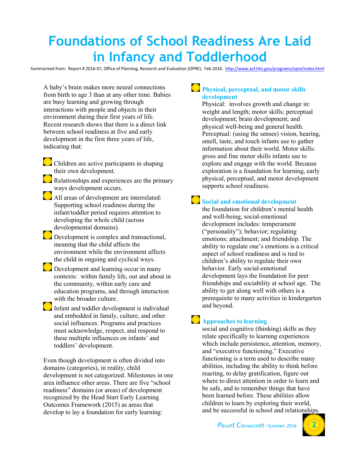# **Foundations of School Readiness Are Laid in Infancy and Toddlerhood**

Summarized from: Report # 2016-07, Office of Planning, Research and Evaluation (OPRE), Feb 2016.<http://www.acf.hhs.gov/programs/opre/index.html>

A baby's brain makes more neural connections from birth to age 3 than at any other time. Babies are busy learning and growing through interactions with people and objects in their environment during their first years of life. Recent research shows that there is a direct link between school readiness at five and early development in the first three years of life, indicating that:

- Children are active participants in shaping their own development.
- Relationships and experiences are the primary ways development occurs.
- All areas of development are interrelated: Supporting school readiness during the infant/toddler period requires attention to developing the whole child (across developmental domains).
- $\Box$  Development is complex and transactional, meaning that the child affects the environment while the environment affects the child in ongoing and cyclical ways.
- **Development and learning occur in many** contexts: within family life, out and about in the community, within early care and education programs, and through interaction with the broader culture.
- Infant and toddler development is individual and embedded in family, culture, and other social influences. Programs and practices must acknowledge, respect, and respond to these multiple influences on infants' and toddlers' development.

Even though development is often divided into domains (categories), in reality, child development is not categorized. Milestones in one area influence other areas. There are five "school readiness" domains (or areas) of development recognized by the Head Start Early Learning Outcomes Framework (2015) as areas that develop to lay a foundation for early learning:

### **Physical, perceptual, and motor skills development**

Physical: involves growth and change in: weight and length; motor skills; perceptual development; brain development; and physical well-being and general health. Perceptual: (using the senses) vision, hearing, smell, taste, and touch infants use to gather information about their world. Motor skills: gross and fine motor skills infants use to explore and engage with the world. Because exploration is a foundation for learning, early physical, perceptual, and motor development supports school readiness.

# **Social and emotional development**

the foundation for children's mental health and well-being, social-emotional development includes: temperament ("personality"); behavior; regulating emotions; attachment; and friendship. The ability to regulate one's emotions is a critical aspect of school readiness and is tied to children's ability to regulate their own behavior. Early social-emotional development lays the foundation for peer friendships and sociability at school age. The ability to get along well with others is a prerequisite to many activities in kindergarten and beyond.

# **Approaches to learning**

social and cognitive (thinking) skills as they relate specifically to learning experiences which include persistence, attention, memory, and "executive functioning." Executive functioning is a term used to describe many abilities, including the ability to think before reacting, to delay gratification, figure out where to direct attention in order to learn and be safe, and to remember things that have been learned before. These abilities allow children to learn by exploring their world, and be successful in school and relationships.

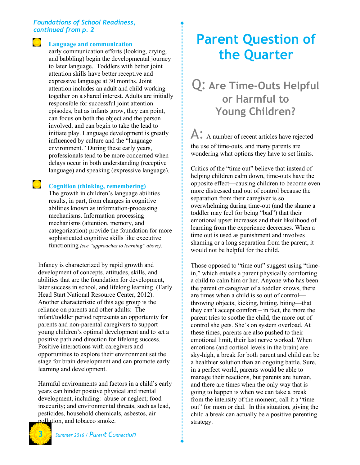#### *Foundations of School Readiness, continued from p. 2*

#### **Language and communication**

early communication efforts (looking, crying, and babbling) begin the developmental journey to later language. Toddlers with better joint attention skills have better receptive and expressive language at 30 months. Joint attention includes an adult and child working together on a shared interest. Adults are initially responsible for successful joint attention episodes, but as infants grow, they can point, can focus on both the object and the person involved, and can begin to take the lead to initiate play. Language development is greatly influenced by culture and the "language environment." During these early years, professionals tend to be more concerned when delays occur in both understanding (receptive language) and speaking (expressive language).

#### **Cognition (thinking, remembering)**

The growth in children's language abilities results, in part, from changes in cognitive abilities known as information-processing mechanisms. Information processing mechanisms (attention, memory, and categorization) provide the foundation for more sophisticated cognitive skills like executive functioning *(see "approaches to learning" above)*.

Infancy is characterized by rapid growth and development of concepts, attitudes, skills, and abilities that are the foundation for development, later success in school, and lifelong learning (Early Head Start National Resource Center, 2012). Another characteristic of this age group is the reliance on parents and other adults: The infant/toddler period represents an opportunity for parents and non-parental caregivers to support young children's optimal development and to set a positive path and direction for lifelong success. Positive interactions with caregivers and opportunities to explore their environment set the stage for brain development and can promote early learning and development.

Harmful environments and factors in a child's early years can hinder positive physical and mental development, including: abuse or neglect; food insecurity; and environmental threats, such as lead, pesticides, household chemicals, asbestos, air pollution, and tobacco smoke.

#### **3** *Summer 2016 / Parent Connection*

# **Parent Question of the Quarter**

# Q: **Are Time-Outs Helpful or Harmful to Young Children?**

A: A number of recent articles have rejected the use of time-outs, and many parents are wondering what options they have to set limits.

Critics of the "time out" believe that instead of helping children calm down, time-outs have the opposite effect—causing children to become even more distressed and out of control because the separation from their caregiver is so overwhelming during time-out (and the shame a toddler may feel for being "bad") that their emotional upset increases and their likelihood of learning from the experience decreases. When a time out is used as punishment and involves shaming or a long separation from the parent, it would not be helpful for the child.

Those opposed to "time out" suggest using "timein," which entails a parent physically comforting a child to calm him or her. Anyone who has been the parent or caregiver of a toddler knows, there are times when a child is so out of control throwing objects, kicking, hitting, biting—that they can't accept comfort – in fact, the more the parent tries to soothe the child, the more out of control she gets. She's on system overload. At these times, parents are also pushed to their emotional limit, their last nerve worked. When emotions (and cortisol levels in the brain) are sky-high, a break for both parent and child can be a healthier solution than an ongoing battle. Sure, in a perfect world, parents would be able to manage their reactions, but parents are human, and there are times when the only way that is going to happen is when we can take a break from the intensity of the moment, call it a "time out" for mom or dad. In this situation, giving the child a break can actually be a positive parenting strategy.